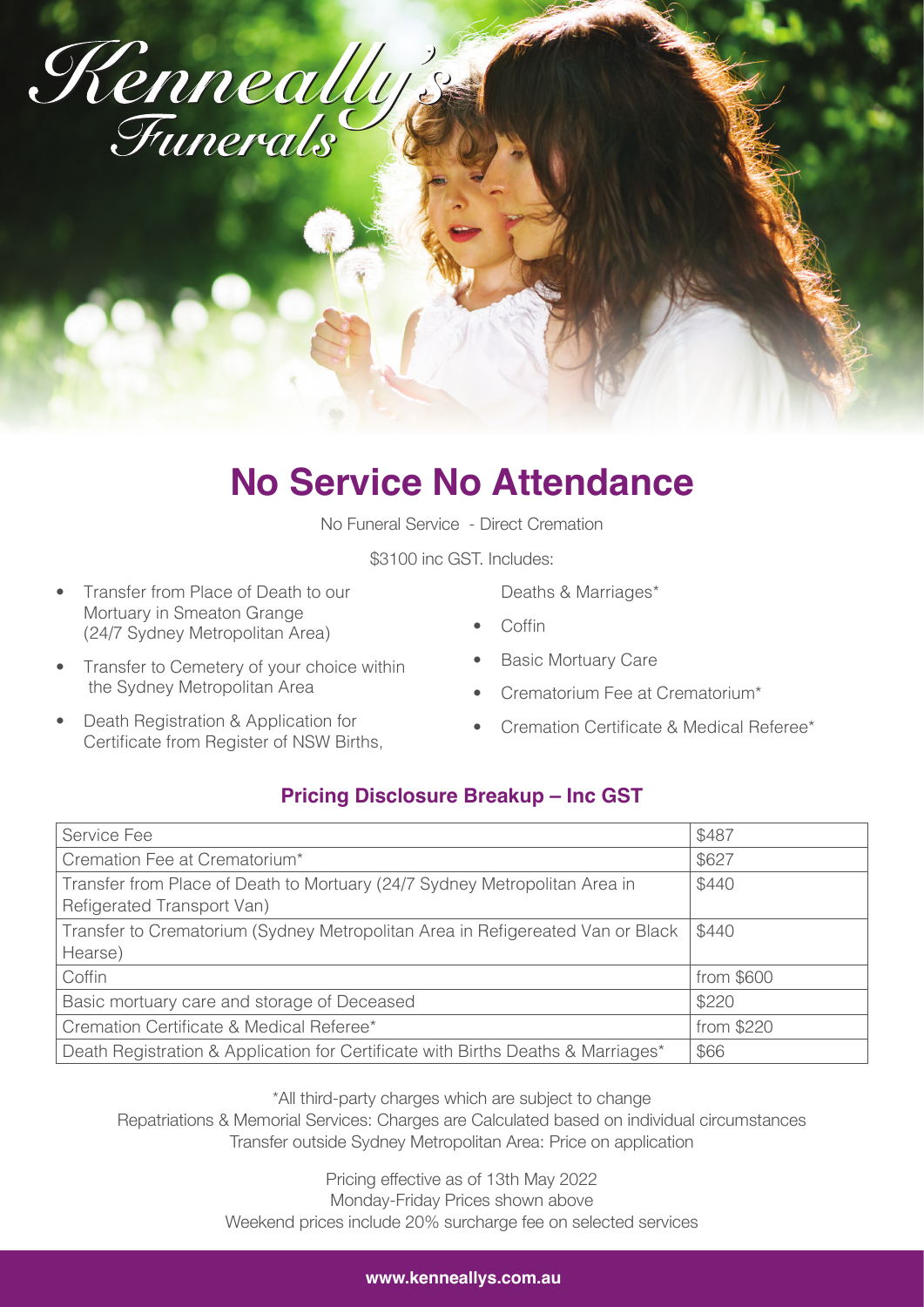

# **No Service No Attendance**

No Funeral Service - Direct Cremation

\$3100 inc GST. Includes:

- Transfer from Place of Death to our Mortuary in Smeaton Grange (24/7 Sydney Metropolitan Area)
- Transfer to Cemetery of your choice within the Sydney Metropolitan Area
- Death Registration & Application for Certificate from Register of NSW Births,

Deaths & Marriages\*

- Coffin
- Basic Mortuary Care
- Crematorium Fee at Crematorium\*
- Cremation Certificate & Medical Referee\*

## **Pricing Disclosure Breakup – Inc GST**

| Service Fee                                                                      | \$487      |
|----------------------------------------------------------------------------------|------------|
| Cremation Fee at Crematorium*                                                    | \$627      |
| Transfer from Place of Death to Mortuary (24/7 Sydney Metropolitan Area in       | \$440      |
| Refigerated Transport Van)                                                       |            |
| Transfer to Crematorium (Sydney Metropolitan Area in Refigereated Van or Black   | \$440      |
| Hearse)                                                                          |            |
| Coffin                                                                           | from \$600 |
| Basic mortuary care and storage of Deceased                                      | \$220      |
| Cremation Certificate & Medical Referee*                                         | from \$220 |
| Death Registration & Application for Certificate with Births Deaths & Marriages* | \$66       |

\*All third-party charges which are subject to change

Repatriations & Memorial Services: Charges are Calculated based on individual circumstances Transfer outside Sydney Metropolitan Area: Price on application

> Pricing effective as of 13th May 2022 Monday-Friday Prices shown above Weekend prices include 20% surcharge fee on selected services